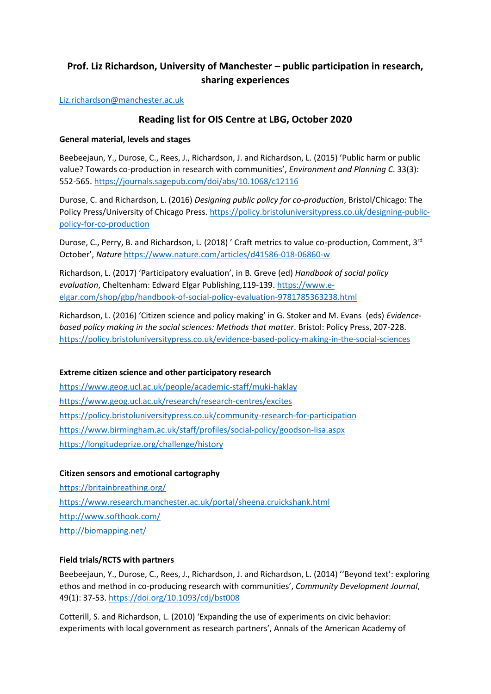# **Prof. Liz Richardson, University of Manchester – public participation in research, sharing experiences**

[Liz.richardson@manchester.ac.uk](mailto:Liz.richardson@manchester.ac.uk)

## **Reading list for OIS Centre at LBG, October 2020**

#### **General material, levels and stages**

Beebeejaun, Y., Durose, C., Rees, J., Richardson, J. and Richardson, L. (2015) 'Public harm or public value? Towards co-production in research with communities', *Environment and Planning C*. 33(3): 552-565.<https://journals.sagepub.com/doi/abs/10.1068/c12116>

Durose, C. and Richardson, L. (2016) *Designing public policy for co-production*, Bristol/Chicago: The Policy Press/University of Chicago Press. [https://policy.bristoluniversitypress.co.uk/designing-public](https://policy.bristoluniversitypress.co.uk/designing-public-policy-for-co-production)[policy-for-co-production](https://policy.bristoluniversitypress.co.uk/designing-public-policy-for-co-production)

Durose, C., Perry, B. and Richardson, L. (2018) ' Craft metrics to value co-production, Comment, 3<sup>rd</sup> October', *Nature* <https://www.nature.com/articles/d41586-018-06860-w>

Richardson, L. (2017) 'Participatory evaluation', in B. Greve (ed) *Handbook of social policy evaluation*, Cheltenham: Edward Elgar Publishing,119-139. [https://www.e](https://www.e-elgar.com/shop/gbp/handbook-of-social-policy-evaluation-9781785363238.html)[elgar.com/shop/gbp/handbook-of-social-policy-evaluation-9781785363238.html](https://www.e-elgar.com/shop/gbp/handbook-of-social-policy-evaluation-9781785363238.html)

Richardson, L. (2016) 'Citizen science and policy making' in G. Stoker and M. Evans (eds) *Evidencebased policy making in the social sciences: Methods that matter*. Bristol: Policy Press, 207-228. <https://policy.bristoluniversitypress.co.uk/evidence-based-policy-making-in-the-social-sciences>

### **Extreme citizen science and other participatory research**

<https://www.geog.ucl.ac.uk/people/academic-staff/muki-haklay> <https://www.geog.ucl.ac.uk/research/research-centres/excites> <https://policy.bristoluniversitypress.co.uk/community-research-for-participation> <https://www.birmingham.ac.uk/staff/profiles/social-policy/goodson-lisa.aspx> <https://longitudeprize.org/challenge/history>

### **Citizen sensors and emotional cartography**

<https://britainbreathing.org/> <https://www.research.manchester.ac.uk/portal/sheena.cruickshank.html> <http://www.softhook.com/> <http://biomapping.net/>

### **Field trials/RCTS with partners**

Beebeejaun, Y., Durose, C., Rees, J., Richardson, J. and Richardson, L. (2014) ''Beyond text': exploring ethos and method in co-producing research with communities', *Community Development Journal*, 49(1): 37-53.<https://doi.org/10.1093/cdj/bst008>

Cotterill, S. and Richardson, L. (2010) 'Expanding the use of experiments on civic behavior: experiments with local government as research partners', Annals of the American Academy of